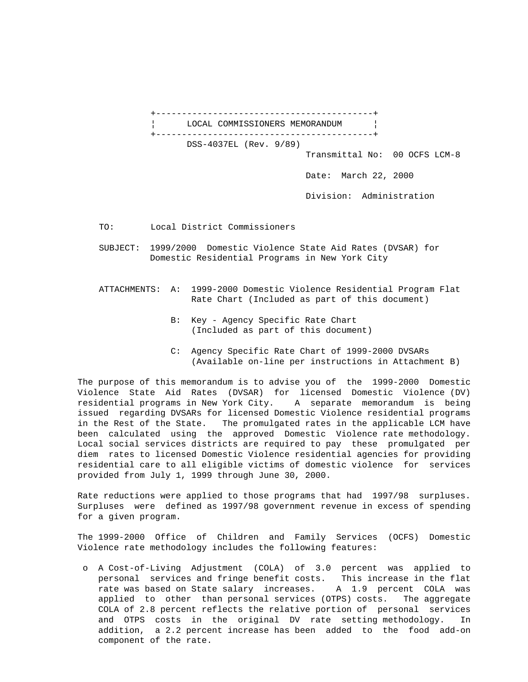+------------------------------------------+ LOCAL COMMISSIONERS MEMORANDUM | +------------------------------------------+

DSS-4037EL (Rev. 9/89)

Transmittal No: 00 OCFS LCM-8

Date: March 22, 2000

Division: Administration

TO: Local District Commissioners

- SUBJECT: 1999/2000 Domestic Violence State Aid Rates (DVSAR) for Domestic Residential Programs in New York City
- ATTACHMENTS: A: 1999-2000 Domestic Violence Residential Program Flat Rate Chart (Included as part of this document)
	- B: Key Agency Specific Rate Chart (Included as part of this document)
	- C: Agency Specific Rate Chart of 1999-2000 DVSARs (Available on-line per instructions in Attachment B)

The purpose of this memorandum is to advise you of the 1999-2000 Domestic Violence State Aid Rates (DVSAR) for licensed Domestic Violence (DV) residential programs in New York City. A separate memorandum is being issued regarding DVSARs for licensed Domestic Violence residential programs in the Rest of the State. The promulgated rates in the applicable LCM have been calculated using the approved Domestic Violence rate methodology. Local social services districts are required to pay these promulgated per diem rates to licensed Domestic Violence residential agencies for providing residential care to all eligible victims of domestic violence for services provided from July 1, 1999 through June 30, 2000.

Rate reductions were applied to those programs that had 1997/98 surpluses. Surpluses were defined as 1997/98 government revenue in excess of spending for a given program.

The 1999-2000 Office of Children and Family Services (OCFS) Domestic Violence rate methodology includes the following features:

 o A Cost-of-Living Adjustment (COLA) of 3.0 percent was applied to personal services and fringe benefit costs. This increase in the flat rate was based on State salary increases. A 1.9 percent COLA was applied to other than personal services (OTPS) costs. The aggregate COLA of 2.8 percent reflects the relative portion of personal services and OTPS costs in the original DV rate setting methodology. In addition, a 2.2 percent increase has been added to the food add-on component of the rate.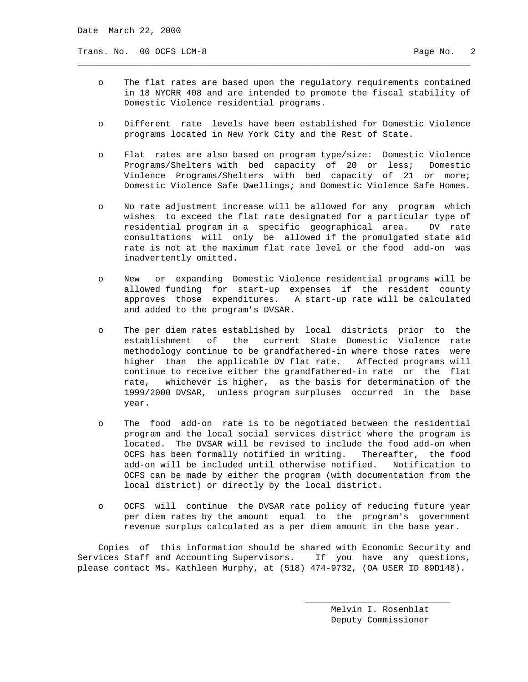Trans. No. 00 OCFS LCM-8 Page No. 2

 o The flat rates are based upon the regulatory requirements contained in 18 NYCRR 408 and are intended to promote the fiscal stability of Domestic Violence residential programs.

\_\_\_\_\_\_\_\_\_\_\_\_\_\_\_\_\_\_\_\_\_\_\_\_\_\_\_\_\_\_\_\_\_\_\_\_\_\_\_\_\_\_\_\_\_\_\_\_\_\_\_\_\_\_\_\_\_\_\_\_\_\_\_\_\_\_\_\_\_\_\_\_\_\_\_\_

- o Different rate levels have been established for Domestic Violence programs located in New York City and the Rest of State.
- o Flat rates are also based on program type/size: Domestic Violence Programs/Shelters with bed capacity of 20 or less; Domestic Violence Programs/Shelters with bed capacity of 21 or more; Domestic Violence Safe Dwellings; and Domestic Violence Safe Homes.
- o No rate adjustment increase will be allowed for any program which wishes to exceed the flat rate designated for a particular type of residential program in a specific geographical area. DV rate consultations will only be allowed if the promulgated state aid rate is not at the maximum flat rate level or the food add-on was inadvertently omitted.
- o New or expanding Domestic Violence residential programs will be allowed funding for start-up expenses if the resident county approves those expenditures. A start-up rate will be calculated and added to the program's DVSAR.
- o The per diem rates established by local districts prior to the establishment of the current State Domestic Violence rate methodology continue to be grandfathered-in where those rates were higher than the applicable DV flat rate. Affected programs will continue to receive either the grandfathered-in rate or the flat rate, whichever is higher, as the basis for determination of the 1999/2000 DVSAR, unless program surpluses occurred in the base year.
- o The food add-on rate is to be negotiated between the residential program and the local social services district where the program is located. The DVSAR will be revised to include the food add-on when OCFS has been formally notified in writing. Thereafter, the food add-on will be included until otherwise notified. Notification to OCFS can be made by either the program (with documentation from the local district) or directly by the local district.
- o OCFS will continue the DVSAR rate policy of reducing future year per diem rates by the amount equal to the program's government revenue surplus calculated as a per diem amount in the base year.

 Copies of this information should be shared with Economic Security and Services Staff and Accounting Supervisors. If you have any questions, please contact Ms. Kathleen Murphy, at (518) 474-9732, (OA USER ID 89D148).

 $\overline{\phantom{a}}$  , and the state of the state of the state of the state of the state of the state of the state of the state of the state of the state of the state of the state of the state of the state of the state of the stat

 Melvin I. Rosenblat Deputy Commissioner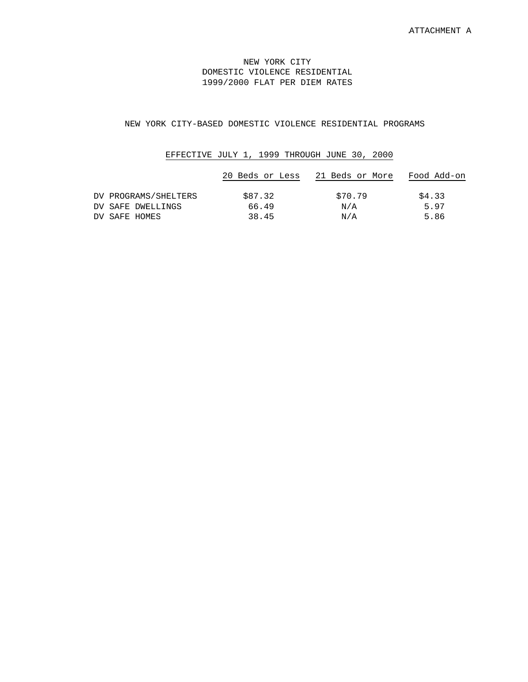## NEW YORK CITY DOMESTIC VIOLENCE RESIDENTIAL 1999/2000 FLAT PER DIEM RATES

## NEW YORK CITY-BASED DOMESTIC VIOLENCE RESIDENTIAL PROGRAMS

## EFFECTIVE JULY 1, 1999 THROUGH JUNE 30, 2000

|                      | 20 Beds or Less | 21 Beds or More | Food Add-on |
|----------------------|-----------------|-----------------|-------------|
| DV PROGRAMS/SHELTERS | \$87.32         | \$70.79         | \$4.33      |
| DV SAFE DWELLINGS    | 66.49           | N/A             | 5.97        |
| DV SAFE HOMES        | 38.45           | N/A             | 5.86        |